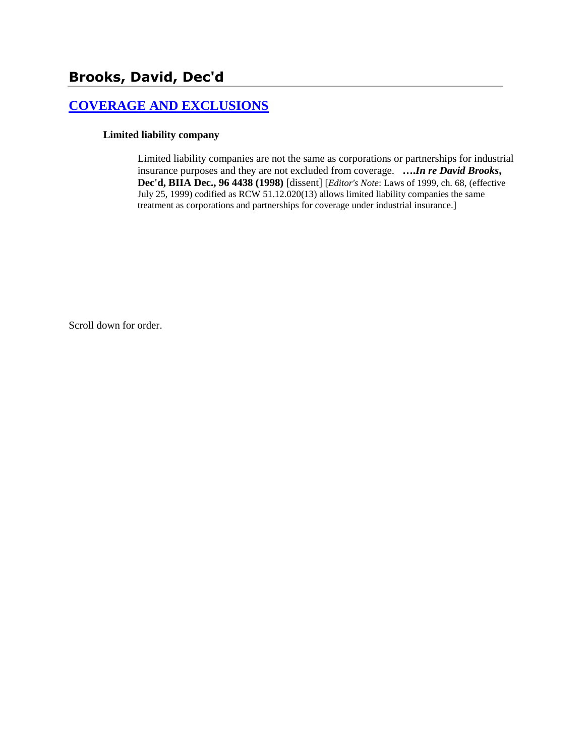# **[COVERAGE AND EXCLUSIONS](http://www.biia.wa.gov/SDSubjectIndex.html#COVERAGE_AND_EXCLUSIONS)**

### **Limited liability company**

Limited liability companies are not the same as corporations or partnerships for industrial insurance purposes and they are not excluded from coverage. **….***In re David Brooks***, Dec'd, BIIA Dec., 96 4438 (1998)** [dissent] [*Editor's Note*: Laws of 1999, ch. 68, (effective July 25, 1999) codified as RCW 51.12.020(13) allows limited liability companies the same treatment as corporations and partnerships for coverage under industrial insurance.]

Scroll down for order.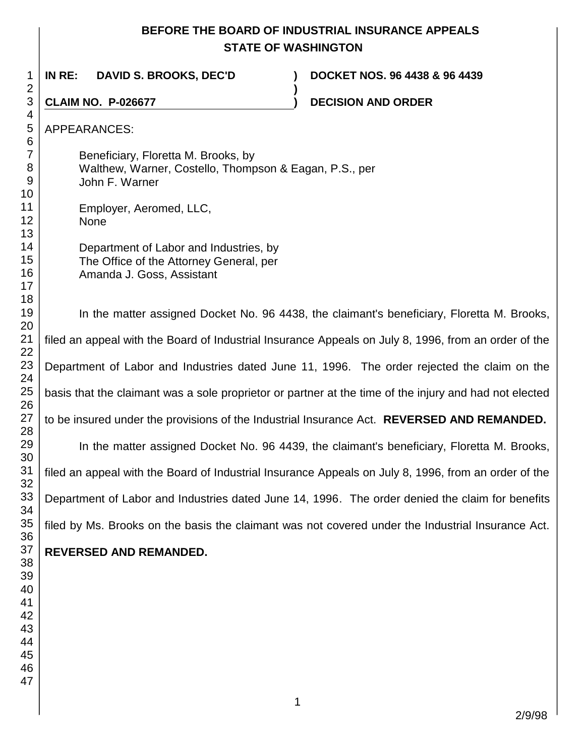# **BEFORE THE BOARD OF INDUSTRIAL INSURANCE APPEALS STATE OF WASHINGTON**

In the matter assigned Docket No. 96 4438, the claimant's beneficiary, Floretta M. Brooks,

In the matter assigned Docket No. 96 4439, the claimant's beneficiary, Floretta M. Brooks,

**)**

**IN RE: DAVID S. BROOKS, DEC'D ) DOCKET NOS. 96 4438 & 96 4439**

Beneficiary, Floretta M. Brooks, by

Department of Labor and Industries, by The Office of the Attorney General, per

Walthew, Warner, Costello, Thompson & Eagan, P.S., per

None

John F. Warner

Employer, Aeromed, LLC,

Amanda J. Goss, Assistant

**CLAIM NO. P-026677 ) DECISION AND ORDER** 

2/9/98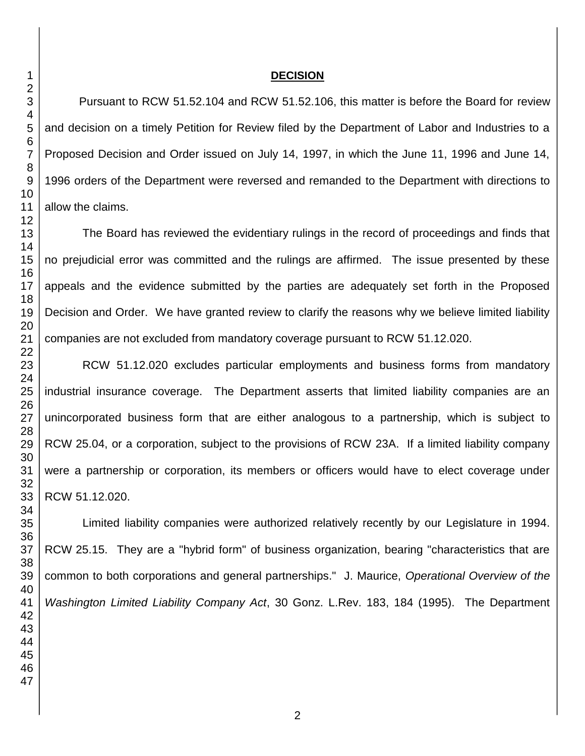#### **DECISION**

Pursuant to RCW 51.52.104 and RCW 51.52.106, this matter is before the Board for review and decision on a timely Petition for Review filed by the Department of Labor and Industries to a Proposed Decision and Order issued on July 14, 1997, in which the June 11, 1996 and June 14, 1996 orders of the Department were reversed and remanded to the Department with directions to allow the claims.

The Board has reviewed the evidentiary rulings in the record of proceedings and finds that no prejudicial error was committed and the rulings are affirmed. The issue presented by these appeals and the evidence submitted by the parties are adequately set forth in the Proposed Decision and Order. We have granted review to clarify the reasons why we believe limited liability companies are not excluded from mandatory coverage pursuant to RCW 51.12.020.

RCW 51.12.020 excludes particular employments and business forms from mandatory industrial insurance coverage. The Department asserts that limited liability companies are an unincorporated business form that are either analogous to a partnership, which is subject to RCW 25.04, or a corporation, subject to the provisions of RCW 23A. If a limited liability company were a partnership or corporation, its members or officers would have to elect coverage under RCW 51.12.020.

Limited liability companies were authorized relatively recently by our Legislature in 1994. RCW 25.15. They are a "hybrid form" of business organization, bearing "characteristics that are common to both corporations and general partnerships." J. Maurice, *Operational Overview of the Washington Limited Liability Company Act*, 30 Gonz. L.Rev. 183, 184 (1995). The Department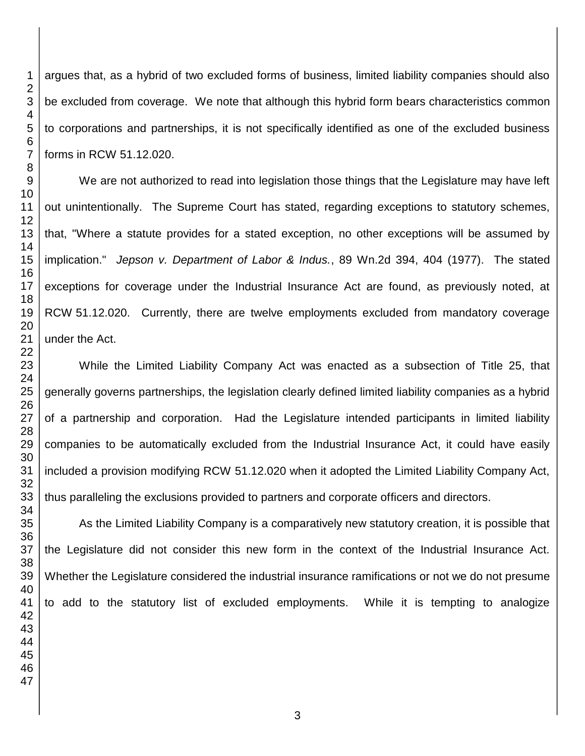argues that, as a hybrid of two excluded forms of business, limited liability companies should also be excluded from coverage. We note that although this hybrid form bears characteristics common to corporations and partnerships, it is not specifically identified as one of the excluded business forms in RCW 51.12.020.

We are not authorized to read into legislation those things that the Legislature may have left out unintentionally. The Supreme Court has stated, regarding exceptions to statutory schemes, that, "Where a statute provides for a stated exception, no other exceptions will be assumed by implication." *Jepson v. Department of Labor & Indus.*, 89 Wn.2d 394, 404 (1977). The stated exceptions for coverage under the Industrial Insurance Act are found, as previously noted, at RCW 51.12.020. Currently, there are twelve employments excluded from mandatory coverage under the Act.

While the Limited Liability Company Act was enacted as a subsection of Title 25, that generally governs partnerships, the legislation clearly defined limited liability companies as a hybrid of a partnership and corporation. Had the Legislature intended participants in limited liability companies to be automatically excluded from the Industrial Insurance Act, it could have easily included a provision modifying RCW 51.12.020 when it adopted the Limited Liability Company Act, thus paralleling the exclusions provided to partners and corporate officers and directors.

As the Limited Liability Company is a comparatively new statutory creation, it is possible that the Legislature did not consider this new form in the context of the Industrial Insurance Act. Whether the Legislature considered the industrial insurance ramifications or not we do not presume to add to the statutory list of excluded employments. While it is tempting to analogize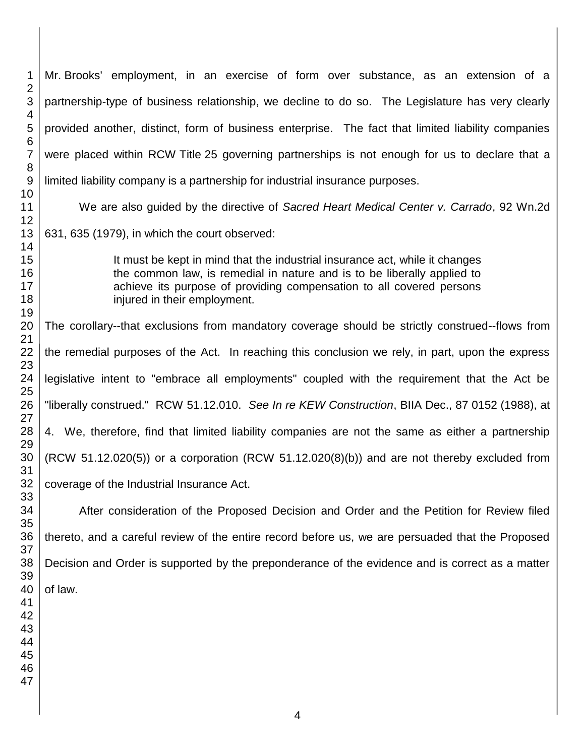Mr. Brooks' employment, in an exercise of form over substance, as an extension of a partnership-type of business relationship, we decline to do so. The Legislature has very clearly provided another, distinct, form of business enterprise. The fact that limited liability companies were placed within RCW Title 25 governing partnerships is not enough for us to declare that a limited liability company is a partnership for industrial insurance purposes. We are also guided by the directive of *Sacred Heart Medical Center v. Carrado*, 92 Wn.2d 631, 635 (1979), in which the court observed: It must be kept in mind that the industrial insurance act, while it changes the common law, is remedial in nature and is to be liberally applied to achieve its purpose of providing compensation to all covered persons injured in their employment. The corollary--that exclusions from mandatory coverage should be strictly construed--flows from the remedial purposes of the Act. In reaching this conclusion we rely, in part, upon the express legislative intent to "embrace all employments" coupled with the requirement that the Act be "liberally construed." RCW 51.12.010. *See In re KEW Construction*, BIIA Dec., 87 0152 (1988), at 4. We, therefore, find that limited liability companies are not the same as either a partnership (RCW 51.12.020(5)) or a corporation (RCW 51.12.020(8)(b)) and are not thereby excluded from coverage of the Industrial Insurance Act. After consideration of the Proposed Decision and Order and the Petition for Review filed thereto, and a careful review of the entire record before us, we are persuaded that the Proposed Decision and Order is supported by the preponderance of the evidence and is correct as a matter of law.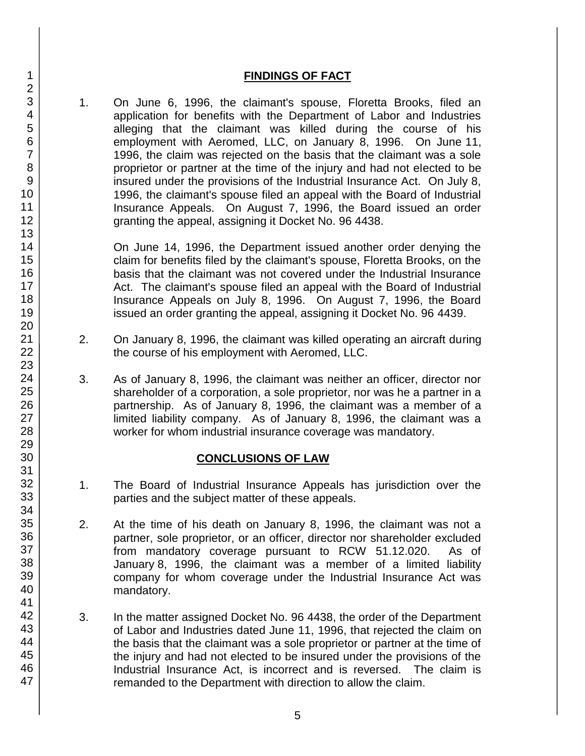## **FINDINGS OF FACT**

1. On June 6, 1996, the claimant's spouse, Floretta Brooks, filed an application for benefits with the Department of Labor and Industries alleging that the claimant was killed during the course of his employment with Aeromed, LLC, on January 8, 1996. On June 11, 1996, the claim was rejected on the basis that the claimant was a sole proprietor or partner at the time of the injury and had not elected to be insured under the provisions of the Industrial Insurance Act. On July 8, 1996, the claimant's spouse filed an appeal with the Board of Industrial Insurance Appeals. On August 7, 1996, the Board issued an order granting the appeal, assigning it Docket No. 96 4438.

On June 14, 1996, the Department issued another order denying the claim for benefits filed by the claimant's spouse, Floretta Brooks, on the basis that the claimant was not covered under the Industrial Insurance Act. The claimant's spouse filed an appeal with the Board of Industrial Insurance Appeals on July 8, 1996. On August 7, 1996, the Board issued an order granting the appeal, assigning it Docket No. 96 4439.

- 2. On January 8, 1996, the claimant was killed operating an aircraft during the course of his employment with Aeromed, LLC.
- 3. As of January 8, 1996, the claimant was neither an officer, director nor shareholder of a corporation, a sole proprietor, nor was he a partner in a partnership. As of January 8, 1996, the claimant was a member of a limited liability company. As of January 8, 1996, the claimant was a worker for whom industrial insurance coverage was mandatory.

# **CONCLUSIONS OF LAW**

- 1. The Board of Industrial Insurance Appeals has jurisdiction over the parties and the subject matter of these appeals.
- 2. At the time of his death on January 8, 1996, the claimant was not a partner, sole proprietor, or an officer, director nor shareholder excluded from mandatory coverage pursuant to RCW 51.12.020. As of January 8, 1996, the claimant was a member of a limited liability company for whom coverage under the Industrial Insurance Act was mandatory.
- 3. In the matter assigned Docket No. 96 4438, the order of the Department of Labor and Industries dated June 11, 1996, that rejected the claim on the basis that the claimant was a sole proprietor or partner at the time of the injury and had not elected to be insured under the provisions of the Industrial Insurance Act, is incorrect and is reversed. The claim is remanded to the Department with direction to allow the claim.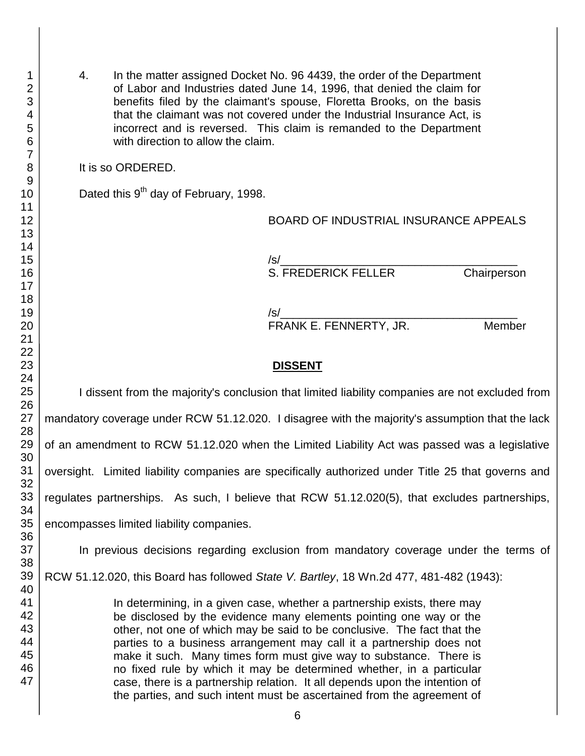4. In the matter assigned Docket No. 96 4439, the order of the Department of Labor and Industries dated June 14, 1996, that denied the claim for benefits filed by the claimant's spouse, Floretta Brooks, on the basis that the claimant was not covered under the Industrial Insurance Act, is incorrect and is reversed. This claim is remanded to the Department with direction to allow the claim.

It is so ORDERED.

Dated this 9<sup>th</sup> day of February, 1998.

BOARD OF INDUSTRIAL INSURANCE APPEALS

/s/\_\_\_\_\_\_\_\_\_\_\_\_\_\_\_\_\_\_\_\_\_\_\_\_\_\_\_\_\_\_\_\_\_\_\_\_\_ S. FREDERICK FELLER Chairperson

 $/s/$ FRANK E. FENNERTY, JR. Member

# **DISSENT**

I dissent from the majority's conclusion that limited liability companies are not excluded from mandatory coverage under RCW 51.12.020. I disagree with the majority's assumption that the lack of an amendment to RCW 51.12.020 when the Limited Liability Act was passed was a legislative oversight. Limited liability companies are specifically authorized under Title 25 that governs and regulates partnerships. As such, I believe that RCW 51.12.020(5), that excludes partnerships, encompasses limited liability companies. In previous decisions regarding exclusion from mandatory coverage under the terms of RCW 51.12.020, this Board has followed *State V. Bartley*, 18 Wn.2d 477, 481-482 (1943): In determining, in a given case, whether a partnership exists, there may be disclosed by the evidence many elements pointing one way or the other, not one of which may be said to be conclusive. The fact that the parties to a business arrangement may call it a partnership does not

> no fixed rule by which it may be determined whether, in a particular case, there is a partnership relation. It all depends upon the intention of the parties, and such intent must be ascertained from the agreement of

make it such. Many times form must give way to substance. There is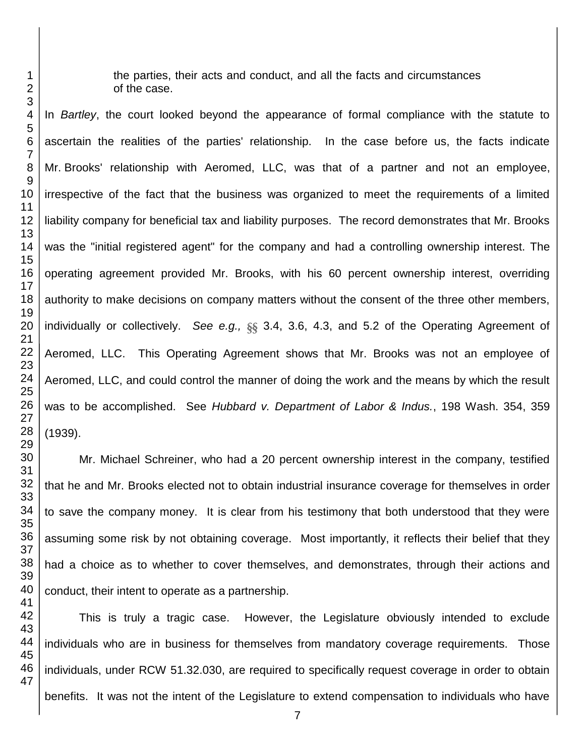the parties, their acts and conduct, and all the facts and circumstances of the case.

In *Bartley*, the court looked beyond the appearance of formal compliance with the statute to ascertain the realities of the parties' relationship. In the case before us, the facts indicate Mr. Brooks' relationship with Aeromed, LLC, was that of a partner and not an employee, irrespective of the fact that the business was organized to meet the requirements of a limited liability company for beneficial tax and liability purposes. The record demonstrates that Mr. Brooks was the "initial registered agent" for the company and had a controlling ownership interest. The operating agreement provided Mr. Brooks, with his 60 percent ownership interest, overriding authority to make decisions on company matters without the consent of the three other members, individually or collectively. *See e.g.,* §§ 3.4, 3.6, 4.3, and 5.2 of the Operating Agreement of Aeromed, LLC. This Operating Agreement shows that Mr. Brooks was not an employee of Aeromed, LLC, and could control the manner of doing the work and the means by which the result was to be accomplished. See *Hubbard v. Department of Labor & Indus.*, 198 Wash. 354, 359 (1939).

Mr. Michael Schreiner, who had a 20 percent ownership interest in the company, testified that he and Mr. Brooks elected not to obtain industrial insurance coverage for themselves in order to save the company money. It is clear from his testimony that both understood that they were assuming some risk by not obtaining coverage. Most importantly, it reflects their belief that they had a choice as to whether to cover themselves, and demonstrates, through their actions and conduct, their intent to operate as a partnership.

This is truly a tragic case. However, the Legislature obviously intended to exclude individuals who are in business for themselves from mandatory coverage requirements. Those individuals, under RCW 51.32.030, are required to specifically request coverage in order to obtain benefits. It was not the intent of the Legislature to extend compensation to individuals who have